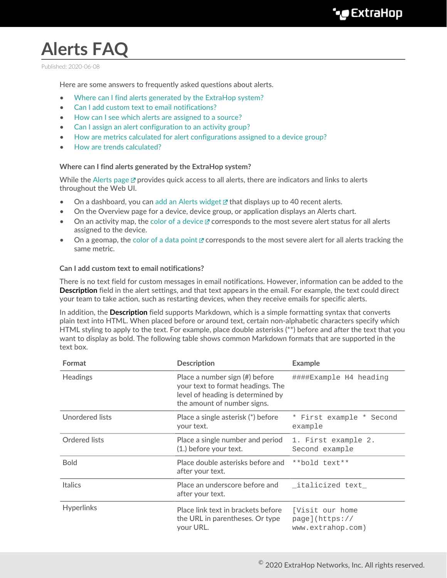# **Alerts FAQ**

Published: 2020-06-08

Here are some answers to frequently asked questions about alerts.

- [Where can I find alerts generated by the ExtraHop system?](#page-0-0)
- [Can I add custom text to email notifications?](#page-0-1)
- [How can I see which alerts are assigned to a source?](#page-1-0)
- [Can I assign an alert configuration to an activity group?](#page-1-1)
- [How are metrics calculated for alert configurations assigned to a device group?](#page-1-2)
- <span id="page-0-0"></span>• [How are trends calculated?](#page-1-3)

#### **Where can I find alerts generated by the ExtraHop system?**

While the [Alerts page](https://docs.extrahop.com/8.1/alerts/#viewing-alerts)  $\mathbb Z$  provides quick access to all alerts, there are indicators and links to alerts throughout the Web UI.

- On a dashboard, you can [add an Alerts widget](https://docs.extrahop.com/8.1/edit-dashboard-layout)  $\mathbb Z$  that displays up to 40 recent alerts.
- On the Overview page for a device, device group, or application displays an Alerts chart.
- On an activity map, the [color of a device](https://docs.extrahop.com/8.1/activity-maps/#color)  $\mathbb Z$  corresponds to the most severe alert status for all alerts assigned to the device.
- On a geomap, the [color of a data point](https://docs.extrahop.com/8.1/geomaps/#view-alert-details)  $\mathbb Z$  corresponds to the most severe alert for all alerts tracking the same metric.

#### <span id="page-0-1"></span>**Can I add custom text to email notifications?**

There is no text field for custom messages in email notifications. However, information can be added to the **Description** field in the alert settings, and that text appears in the email. For example, the text could direct your team to take action, such as restarting devices, when they receive emails for specific alerts.

In addition, the **Description** field supports Markdown, which is a simple formatting syntax that converts plain text into HTML. When placed before or around text, certain non-alphabetic characters specify which HTML styling to apply to the text. For example, place double asterisks (\*\*) before and after the text that you want to display as bold. The following table shows common Markdown formats that are supported in the text box.

| Format            | <b>Description</b>                                                                                                                      | <b>Example</b>                                         |
|-------------------|-----------------------------------------------------------------------------------------------------------------------------------------|--------------------------------------------------------|
| <b>Headings</b>   | Place a number sign (#) before<br>your text to format headings. The<br>level of heading is determined by<br>the amount of number signs. | ####Example H4 heading                                 |
| Unordered lists   | Place a single asterisk (*) before<br>your text.                                                                                        | * First example * Second<br>example                    |
| Ordered lists     | Place a single number and period<br>(1.) before your text.                                                                              | 1. First example 2.<br>Second example                  |
| <b>Bold</b>       | Place double asterisks before and<br>after your text.                                                                                   | **bold text**                                          |
| <b>Italics</b>    | Place an underscore before and<br>after your text.                                                                                      | italicized text                                        |
| <b>Hyperlinks</b> | Place link text in brackets before<br>the URL in parentheses. Or type<br>your URL.                                                      | [Visit our home<br>page](https://<br>www.extrahop.com) |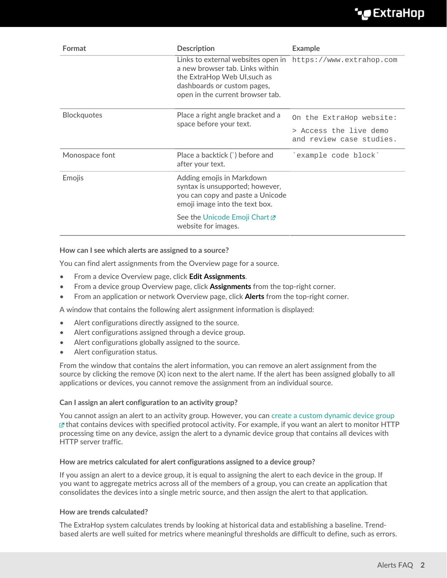### **∙.e** ExtraHop

| Format             | <b>Description</b>                                                                                                                                                                                | <b>Example</b>                                     |
|--------------------|---------------------------------------------------------------------------------------------------------------------------------------------------------------------------------------------------|----------------------------------------------------|
|                    | Links to external websites open in https://www.extrahop.com<br>a new browser tab. Links within<br>the ExtraHop Web UI, such as<br>dashboards or custom pages,<br>open in the current browser tab. |                                                    |
| <b>Blockquotes</b> | Place a right angle bracket and a<br>space before your text.                                                                                                                                      | On the ExtraHop website:                           |
|                    |                                                                                                                                                                                                   | > Access the live demo<br>and review case studies. |
| Monospace font     | Place a backtick (`) before and<br>after your text.                                                                                                                                               | example code block`                                |
| Emojis             | Adding emojis in Markdown<br>syntax is unsupported; however,<br>you can copy and paste a Unicode<br>emoji image into the text box.                                                                |                                                    |
|                    | See the Unicode Emoji Chart <b>Z</b><br>website for images.                                                                                                                                       |                                                    |

#### <span id="page-1-0"></span>**How can I see which alerts are assigned to a source?**

You can find alert assignments from the Overview page for a source.

- From a device Overview page, click **Edit Assignments**.
- From a device group Overview page, click **Assignments** from the top-right corner.
- From an application or network Overview page, click **Alerts** from the top-right corner.

A window that contains the following alert assignment information is displayed:

- Alert configurations directly assigned to the source.
- Alert configurations assigned through a device group.
- Alert configurations globally assigned to the source.
- Alert configuration status.

From the window that contains the alert information, you can remove an alert assignment from the source by clicking the remove (X) icon next to the alert name. If the alert has been assigned globally to all applications or devices, you cannot remove the assignment from an individual source.

#### <span id="page-1-1"></span>**Can I assign an alert configuration to an activity group?**

You cannot assign an alert to an activity group. However, you can [create a custom dynamic device group](https://docs.extrahop.com/8.1/create-device-group/#create-a-dynamic-device-group)  $E$ that contains devices with specified protocol activity. For example, if you want an alert to monitor HTTP processing time on any device, assign the alert to a dynamic device group that contains all devices with HTTP server traffic.

#### <span id="page-1-2"></span>**How are metrics calculated for alert configurations assigned to a device group?**

If you assign an alert to a device group, it is equal to assigning the alert to each device in the group. If you want to aggregate metrics across all of the members of a group, you can create an application that consolidates the devices into a single metric source, and then assign the alert to that application.

#### <span id="page-1-3"></span>**How are trends calculated?**

The ExtraHop system calculates trends by looking at historical data and establishing a baseline. Trendbased alerts are well suited for metrics where meaningful thresholds are difficult to define, such as errors.